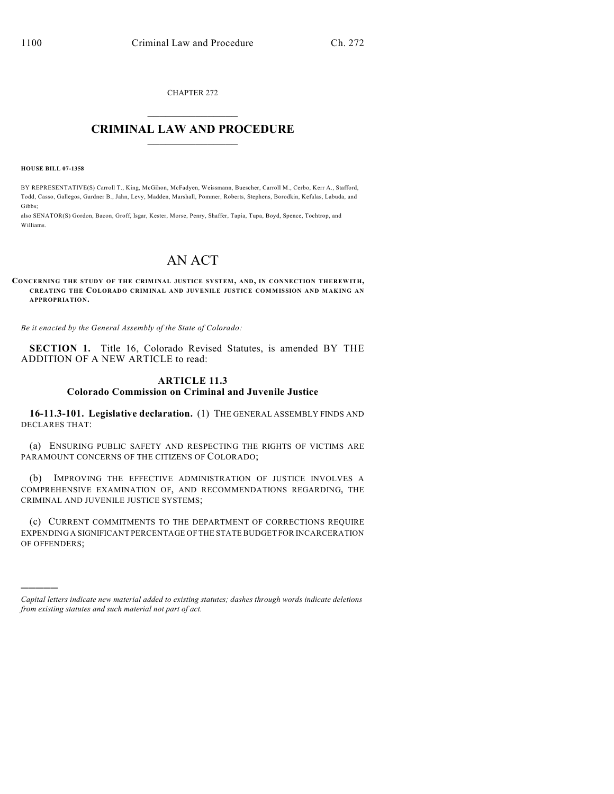CHAPTER 272  $\overline{\phantom{a}}$  . The set of the set of the set of the set of the set of the set of the set of the set of the set of the set of the set of the set of the set of the set of the set of the set of the set of the set of the set o

## **CRIMINAL LAW AND PROCEDURE**  $\frac{1}{2}$  ,  $\frac{1}{2}$  ,  $\frac{1}{2}$  ,  $\frac{1}{2}$  ,  $\frac{1}{2}$  ,  $\frac{1}{2}$  ,  $\frac{1}{2}$

**HOUSE BILL 07-1358**

)))))

BY REPRESENTATIVE(S) Carroll T., King, McGihon, McFadyen, Weissmann, Buescher, Carroll M., Cerbo, Kerr A., Stafford, Todd, Casso, Gallegos, Gardner B., Jahn, Levy, Madden, Marshall, Pommer, Roberts, Stephens, Borodkin, Kefalas, Labuda, and Gibbs;

also SENATOR(S) Gordon, Bacon, Groff, Isgar, Kester, Morse, Penry, Shaffer, Tapia, Tupa, Boyd, Spence, Tochtrop, and Williams.

## AN ACT

**CONCERNING THE STUDY OF THE CRIMINAL JUSTICE SYSTEM, AND, IN CONNECTION THEREWITH, CREATING THE COLORADO CRIMINAL AND JUVENILE JUSTICE COMMISSION AND MAKING AN APPROPRIATION.**

*Be it enacted by the General Assembly of the State of Colorado:*

**SECTION 1.** Title 16, Colorado Revised Statutes, is amended BY THE ADDITION OF A NEW ARTICLE to read:

## **ARTICLE 11.3 Colorado Commission on Criminal and Juvenile Justice**

**16-11.3-101. Legislative declaration.** (1) THE GENERAL ASSEMBLY FINDS AND DECLARES THAT:

(a) ENSURING PUBLIC SAFETY AND RESPECTING THE RIGHTS OF VICTIMS ARE PARAMOUNT CONCERNS OF THE CITIZENS OF COLORADO;

(b) IMPROVING THE EFFECTIVE ADMINISTRATION OF JUSTICE INVOLVES A COMPREHENSIVE EXAMINATION OF, AND RECOMMENDATIONS REGARDING, THE CRIMINAL AND JUVENILE JUSTICE SYSTEMS;

(c) CURRENT COMMITMENTS TO THE DEPARTMENT OF CORRECTIONS REQUIRE EXPENDING A SIGNIFICANT PERCENTAGE OF THE STATE BUDGET FOR INCARCERATION OF OFFENDERS;

*Capital letters indicate new material added to existing statutes; dashes through words indicate deletions from existing statutes and such material not part of act.*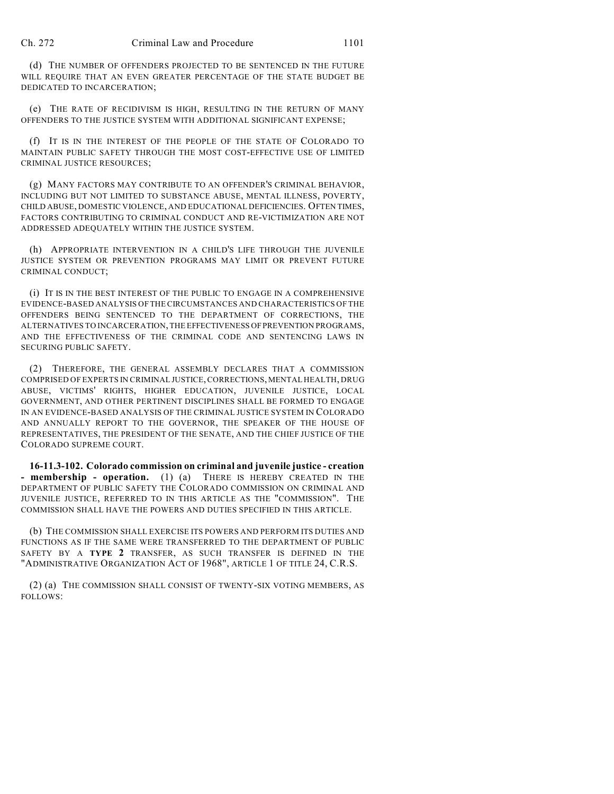(d) THE NUMBER OF OFFENDERS PROJECTED TO BE SENTENCED IN THE FUTURE WILL REQUIRE THAT AN EVEN GREATER PERCENTAGE OF THE STATE BUDGET BE DEDICATED TO INCARCERATION;

(e) THE RATE OF RECIDIVISM IS HIGH, RESULTING IN THE RETURN OF MANY OFFENDERS TO THE JUSTICE SYSTEM WITH ADDITIONAL SIGNIFICANT EXPENSE;

(f) IT IS IN THE INTEREST OF THE PEOPLE OF THE STATE OF COLORADO TO MAINTAIN PUBLIC SAFETY THROUGH THE MOST COST-EFFECTIVE USE OF LIMITED CRIMINAL JUSTICE RESOURCES;

(g) MANY FACTORS MAY CONTRIBUTE TO AN OFFENDER'S CRIMINAL BEHAVIOR, INCLUDING BUT NOT LIMITED TO SUBSTANCE ABUSE, MENTAL ILLNESS, POVERTY, CHILD ABUSE, DOMESTIC VIOLENCE, AND EDUCATIONAL DEFICIENCIES. OFTEN TIMES, FACTORS CONTRIBUTING TO CRIMINAL CONDUCT AND RE-VICTIMIZATION ARE NOT ADDRESSED ADEQUATELY WITHIN THE JUSTICE SYSTEM.

(h) APPROPRIATE INTERVENTION IN A CHILD'S LIFE THROUGH THE JUVENILE JUSTICE SYSTEM OR PREVENTION PROGRAMS MAY LIMIT OR PREVENT FUTURE CRIMINAL CONDUCT;

(i) IT IS IN THE BEST INTEREST OF THE PUBLIC TO ENGAGE IN A COMPREHENSIVE EVIDENCE-BASED ANALYSIS OF THE CIRCUMSTANCES AND CHARACTERISTICS OF THE OFFENDERS BEING SENTENCED TO THE DEPARTMENT OF CORRECTIONS, THE ALTERNATIVES TO INCARCERATION, THE EFFECTIVENESS OF PREVENTION PROGRAMS, AND THE EFFECTIVENESS OF THE CRIMINAL CODE AND SENTENCING LAWS IN SECURING PUBLIC SAFETY.

(2) THEREFORE, THE GENERAL ASSEMBLY DECLARES THAT A COMMISSION COMPRISED OF EXPERTS IN CRIMINAL JUSTICE, CORRECTIONS, MENTAL HEALTH, DRUG ABUSE, VICTIMS' RIGHTS, HIGHER EDUCATION, JUVENILE JUSTICE, LOCAL GOVERNMENT, AND OTHER PERTINENT DISCIPLINES SHALL BE FORMED TO ENGAGE IN AN EVIDENCE-BASED ANALYSIS OF THE CRIMINAL JUSTICE SYSTEM IN COLORADO AND ANNUALLY REPORT TO THE GOVERNOR, THE SPEAKER OF THE HOUSE OF REPRESENTATIVES, THE PRESIDENT OF THE SENATE, AND THE CHIEF JUSTICE OF THE COLORADO SUPREME COURT.

**16-11.3-102. Colorado commission on criminal and juvenile justice - creation - membership - operation.** (1) (a) THERE IS HEREBY CREATED IN THE DEPARTMENT OF PUBLIC SAFETY THE COLORADO COMMISSION ON CRIMINAL AND JUVENILE JUSTICE, REFERRED TO IN THIS ARTICLE AS THE "COMMISSION". THE COMMISSION SHALL HAVE THE POWERS AND DUTIES SPECIFIED IN THIS ARTICLE.

(b) THE COMMISSION SHALL EXERCISE ITS POWERS AND PERFORM ITS DUTIES AND FUNCTIONS AS IF THE SAME WERE TRANSFERRED TO THE DEPARTMENT OF PUBLIC SAFETY BY A **TYPE 2** TRANSFER, AS SUCH TRANSFER IS DEFINED IN THE "ADMINISTRATIVE ORGANIZATION ACT OF 1968", ARTICLE 1 OF TITLE 24, C.R.S.

(2) (a) THE COMMISSION SHALL CONSIST OF TWENTY-SIX VOTING MEMBERS, AS FOLLOWS: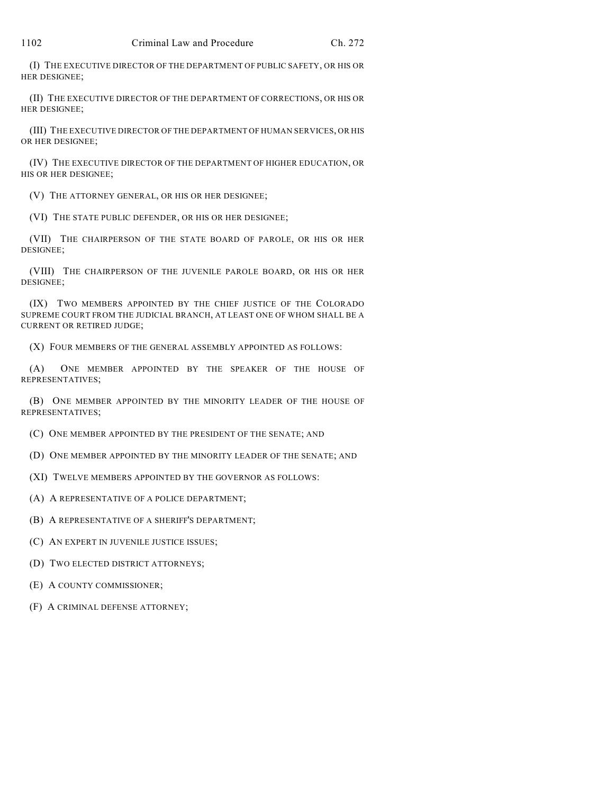(I) THE EXECUTIVE DIRECTOR OF THE DEPARTMENT OF PUBLIC SAFETY, OR HIS OR HER DESIGNEE;

(II) THE EXECUTIVE DIRECTOR OF THE DEPARTMENT OF CORRECTIONS, OR HIS OR HER DESIGNEE;

(III) THE EXECUTIVE DIRECTOR OF THE DEPARTMENT OF HUMAN SERVICES, OR HIS OR HER DESIGNEE;

(IV) THE EXECUTIVE DIRECTOR OF THE DEPARTMENT OF HIGHER EDUCATION, OR HIS OR HER DESIGNEE;

(V) THE ATTORNEY GENERAL, OR HIS OR HER DESIGNEE;

(VI) THE STATE PUBLIC DEFENDER, OR HIS OR HER DESIGNEE;

(VII) THE CHAIRPERSON OF THE STATE BOARD OF PAROLE, OR HIS OR HER DESIGNEE;

(VIII) THE CHAIRPERSON OF THE JUVENILE PAROLE BOARD, OR HIS OR HER DESIGNEE;

(IX) TWO MEMBERS APPOINTED BY THE CHIEF JUSTICE OF THE COLORADO SUPREME COURT FROM THE JUDICIAL BRANCH, AT LEAST ONE OF WHOM SHALL BE A CURRENT OR RETIRED JUDGE;

(X) FOUR MEMBERS OF THE GENERAL ASSEMBLY APPOINTED AS FOLLOWS:

(A) ONE MEMBER APPOINTED BY THE SPEAKER OF THE HOUSE OF REPRESENTATIVES;

(B) ONE MEMBER APPOINTED BY THE MINORITY LEADER OF THE HOUSE OF REPRESENTATIVES;

(C) ONE MEMBER APPOINTED BY THE PRESIDENT OF THE SENATE; AND

(D) ONE MEMBER APPOINTED BY THE MINORITY LEADER OF THE SENATE; AND

(XI) TWELVE MEMBERS APPOINTED BY THE GOVERNOR AS FOLLOWS:

(A) A REPRESENTATIVE OF A POLICE DEPARTMENT;

(B) A REPRESENTATIVE OF A SHERIFF'S DEPARTMENT;

(C) AN EXPERT IN JUVENILE JUSTICE ISSUES;

(D) TWO ELECTED DISTRICT ATTORNEYS;

(E) A COUNTY COMMISSIONER;

(F) A CRIMINAL DEFENSE ATTORNEY;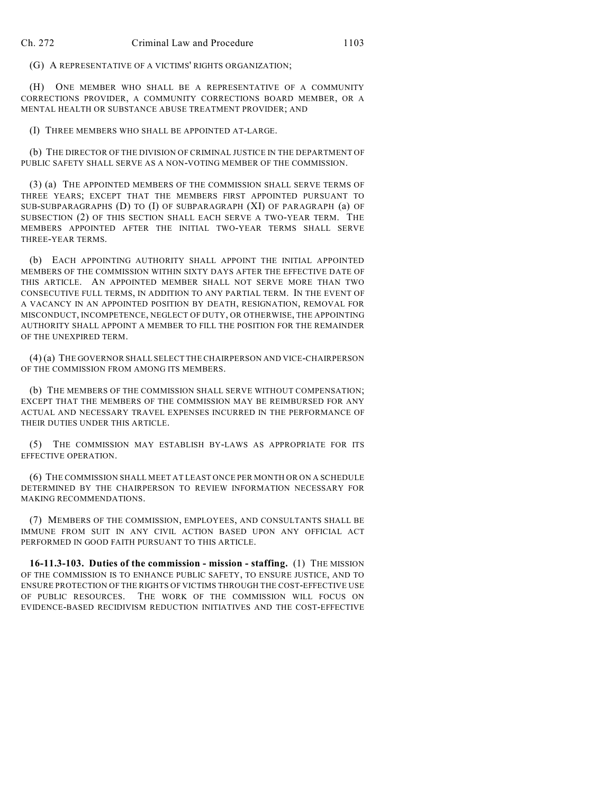(G) A REPRESENTATIVE OF A VICTIMS' RIGHTS ORGANIZATION;

(H) ONE MEMBER WHO SHALL BE A REPRESENTATIVE OF A COMMUNITY CORRECTIONS PROVIDER, A COMMUNITY CORRECTIONS BOARD MEMBER, OR A MENTAL HEALTH OR SUBSTANCE ABUSE TREATMENT PROVIDER; AND

(I) THREE MEMBERS WHO SHALL BE APPOINTED AT-LARGE.

(b) THE DIRECTOR OF THE DIVISION OF CRIMINAL JUSTICE IN THE DEPARTMENT OF PUBLIC SAFETY SHALL SERVE AS A NON-VOTING MEMBER OF THE COMMISSION.

(3) (a) THE APPOINTED MEMBERS OF THE COMMISSION SHALL SERVE TERMS OF THREE YEARS; EXCEPT THAT THE MEMBERS FIRST APPOINTED PURSUANT TO SUB-SUBPARAGRAPHS (D) TO (I) OF SUBPARAGRAPH (XI) OF PARAGRAPH (a) OF SUBSECTION (2) OF THIS SECTION SHALL EACH SERVE A TWO-YEAR TERM. THE MEMBERS APPOINTED AFTER THE INITIAL TWO-YEAR TERMS SHALL SERVE THREE-YEAR TERMS.

(b) EACH APPOINTING AUTHORITY SHALL APPOINT THE INITIAL APPOINTED MEMBERS OF THE COMMISSION WITHIN SIXTY DAYS AFTER THE EFFECTIVE DATE OF THIS ARTICLE. AN APPOINTED MEMBER SHALL NOT SERVE MORE THAN TWO CONSECUTIVE FULL TERMS, IN ADDITION TO ANY PARTIAL TERM. IN THE EVENT OF A VACANCY IN AN APPOINTED POSITION BY DEATH, RESIGNATION, REMOVAL FOR MISCONDUCT, INCOMPETENCE, NEGLECT OF DUTY, OR OTHERWISE, THE APPOINTING AUTHORITY SHALL APPOINT A MEMBER TO FILL THE POSITION FOR THE REMAINDER OF THE UNEXPIRED TERM.

(4) (a) THE GOVERNOR SHALL SELECT THE CHAIRPERSON AND VICE-CHAIRPERSON OF THE COMMISSION FROM AMONG ITS MEMBERS.

(b) THE MEMBERS OF THE COMMISSION SHALL SERVE WITHOUT COMPENSATION; EXCEPT THAT THE MEMBERS OF THE COMMISSION MAY BE REIMBURSED FOR ANY ACTUAL AND NECESSARY TRAVEL EXPENSES INCURRED IN THE PERFORMANCE OF THEIR DUTIES UNDER THIS ARTICLE.

(5) THE COMMISSION MAY ESTABLISH BY-LAWS AS APPROPRIATE FOR ITS EFFECTIVE OPERATION.

(6) THE COMMISSION SHALL MEET AT LEAST ONCE PER MONTH OR ON A SCHEDULE DETERMINED BY THE CHAIRPERSON TO REVIEW INFORMATION NECESSARY FOR MAKING RECOMMENDATIONS.

(7) MEMBERS OF THE COMMISSION, EMPLOYEES, AND CONSULTANTS SHALL BE IMMUNE FROM SUIT IN ANY CIVIL ACTION BASED UPON ANY OFFICIAL ACT PERFORMED IN GOOD FAITH PURSUANT TO THIS ARTICLE.

**16-11.3-103. Duties of the commission - mission - staffing.** (1) THE MISSION OF THE COMMISSION IS TO ENHANCE PUBLIC SAFETY, TO ENSURE JUSTICE, AND TO ENSURE PROTECTION OF THE RIGHTS OF VICTIMS THROUGH THE COST-EFFECTIVE USE OF PUBLIC RESOURCES. THE WORK OF THE COMMISSION WILL FOCUS ON EVIDENCE-BASED RECIDIVISM REDUCTION INITIATIVES AND THE COST-EFFECTIVE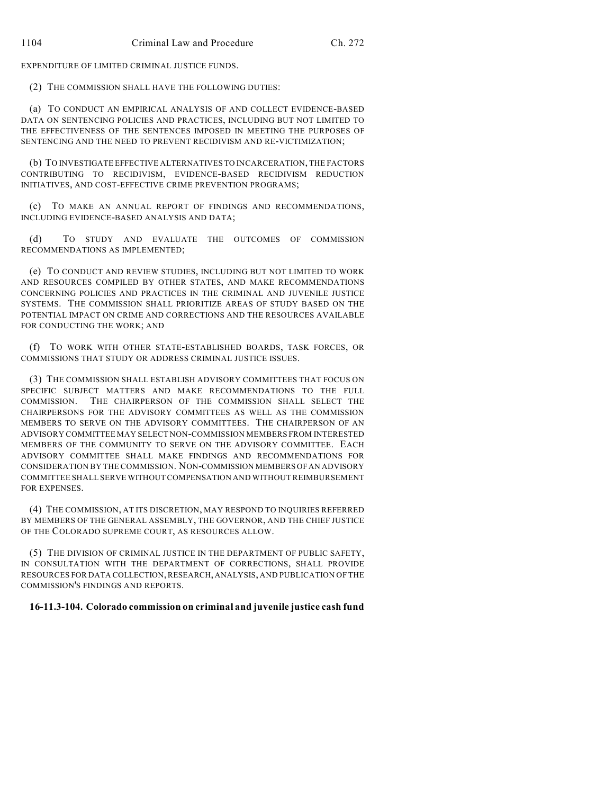EXPENDITURE OF LIMITED CRIMINAL JUSTICE FUNDS.

(2) THE COMMISSION SHALL HAVE THE FOLLOWING DUTIES:

(a) TO CONDUCT AN EMPIRICAL ANALYSIS OF AND COLLECT EVIDENCE-BASED DATA ON SENTENCING POLICIES AND PRACTICES, INCLUDING BUT NOT LIMITED TO THE EFFECTIVENESS OF THE SENTENCES IMPOSED IN MEETING THE PURPOSES OF SENTENCING AND THE NEED TO PREVENT RECIDIVISM AND RE-VICTIMIZATION;

(b) TO INVESTIGATE EFFECTIVE ALTERNATIVES TO INCARCERATION, THE FACTORS CONTRIBUTING TO RECIDIVISM, EVIDENCE-BASED RECIDIVISM REDUCTION INITIATIVES, AND COST-EFFECTIVE CRIME PREVENTION PROGRAMS;

(c) TO MAKE AN ANNUAL REPORT OF FINDINGS AND RECOMMENDATIONS, INCLUDING EVIDENCE-BASED ANALYSIS AND DATA;

(d) TO STUDY AND EVALUATE THE OUTCOMES OF COMMISSION RECOMMENDATIONS AS IMPLEMENTED;

(e) TO CONDUCT AND REVIEW STUDIES, INCLUDING BUT NOT LIMITED TO WORK AND RESOURCES COMPILED BY OTHER STATES, AND MAKE RECOMMENDATIONS CONCERNING POLICIES AND PRACTICES IN THE CRIMINAL AND JUVENILE JUSTICE SYSTEMS. THE COMMISSION SHALL PRIORITIZE AREAS OF STUDY BASED ON THE POTENTIAL IMPACT ON CRIME AND CORRECTIONS AND THE RESOURCES AVAILABLE FOR CONDUCTING THE WORK; AND

(f) TO WORK WITH OTHER STATE-ESTABLISHED BOARDS, TASK FORCES, OR COMMISSIONS THAT STUDY OR ADDRESS CRIMINAL JUSTICE ISSUES.

(3) THE COMMISSION SHALL ESTABLISH ADVISORY COMMITTEES THAT FOCUS ON SPECIFIC SUBJECT MATTERS AND MAKE RECOMMENDATIONS TO THE FULL COMMISSION. THE CHAIRPERSON OF THE COMMISSION SHALL SELECT THE CHAIRPERSONS FOR THE ADVISORY COMMITTEES AS WELL AS THE COMMISSION MEMBERS TO SERVE ON THE ADVISORY COMMITTEES. THE CHAIRPERSON OF AN ADVISORY COMMITTEE MAY SELECT NON-COMMISSION MEMBERS FROM INTERESTED MEMBERS OF THE COMMUNITY TO SERVE ON THE ADVISORY COMMITTEE. EACH ADVISORY COMMITTEE SHALL MAKE FINDINGS AND RECOMMENDATIONS FOR CONSIDERATION BY THE COMMISSION. NON-COMMISSION MEMBERS OF AN ADVISORY COMMITTEE SHALL SERVE WITHOUT COMPENSATION AND WITHOUT REIMBURSEMENT FOR EXPENSES.

(4) THE COMMISSION, AT ITS DISCRETION, MAY RESPOND TO INQUIRIES REFERRED BY MEMBERS OF THE GENERAL ASSEMBLY, THE GOVERNOR, AND THE CHIEF JUSTICE OF THE COLORADO SUPREME COURT, AS RESOURCES ALLOW.

(5) THE DIVISION OF CRIMINAL JUSTICE IN THE DEPARTMENT OF PUBLIC SAFETY, IN CONSULTATION WITH THE DEPARTMENT OF CORRECTIONS, SHALL PROVIDE RESOURCES FOR DATA COLLECTION, RESEARCH, ANALYSIS, AND PUBLICATION OF THE COMMISSION'S FINDINGS AND REPORTS.

## **16-11.3-104. Colorado commission on criminal and juvenile justice cash fund**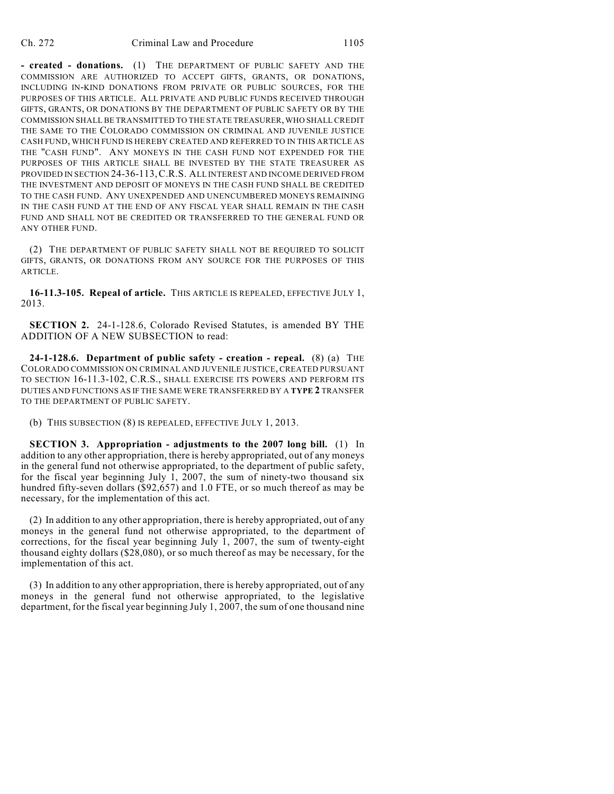**- created - donations.** (1) THE DEPARTMENT OF PUBLIC SAFETY AND THE COMMISSION ARE AUTHORIZED TO ACCEPT GIFTS, GRANTS, OR DONATIONS, INCLUDING IN-KIND DONATIONS FROM PRIVATE OR PUBLIC SOURCES, FOR THE PURPOSES OF THIS ARTICLE. ALL PRIVATE AND PUBLIC FUNDS RECEIVED THROUGH GIFTS, GRANTS, OR DONATIONS BY THE DEPARTMENT OF PUBLIC SAFETY OR BY THE COMMISSION SHALL BE TRANSMITTED TO THE STATE TREASURER, WHO SHALL CREDIT THE SAME TO THE COLORADO COMMISSION ON CRIMINAL AND JUVENILE JUSTICE CASH FUND, WHICH FUND IS HEREBY CREATED AND REFERRED TO IN THIS ARTICLE AS THE "CASH FUND". ANY MONEYS IN THE CASH FUND NOT EXPENDED FOR THE PURPOSES OF THIS ARTICLE SHALL BE INVESTED BY THE STATE TREASURER AS PROVIDED IN SECTION 24-36-113,C.R.S. ALL INTEREST AND INCOME DERIVED FROM THE INVESTMENT AND DEPOSIT OF MONEYS IN THE CASH FUND SHALL BE CREDITED TO THE CASH FUND. ANY UNEXPENDED AND UNENCUMBERED MONEYS REMAINING IN THE CASH FUND AT THE END OF ANY FISCAL YEAR SHALL REMAIN IN THE CASH FUND AND SHALL NOT BE CREDITED OR TRANSFERRED TO THE GENERAL FUND OR ANY OTHER FUND.

(2) THE DEPARTMENT OF PUBLIC SAFETY SHALL NOT BE REQUIRED TO SOLICIT GIFTS, GRANTS, OR DONATIONS FROM ANY SOURCE FOR THE PURPOSES OF THIS ARTICLE.

**16-11.3-105. Repeal of article.** THIS ARTICLE IS REPEALED, EFFECTIVE JULY 1, 2013.

**SECTION 2.** 24-1-128.6, Colorado Revised Statutes, is amended BY THE ADDITION OF A NEW SUBSECTION to read:

**24-1-128.6. Department of public safety - creation - repeal.** (8) (a) THE COLORADO COMMISSION ON CRIMINAL AND JUVENILE JUSTICE, CREATED PURSUANT TO SECTION 16-11.3-102, C.R.S., SHALL EXERCISE ITS POWERS AND PERFORM ITS DUTIES AND FUNCTIONS AS IF THE SAME WERE TRANSFERRED BY A **TYPE 2** TRANSFER TO THE DEPARTMENT OF PUBLIC SAFETY.

(b) THIS SUBSECTION (8) IS REPEALED, EFFECTIVE JULY 1, 2013.

**SECTION 3. Appropriation - adjustments to the 2007 long bill.** (1) In addition to any other appropriation, there is hereby appropriated, out of any moneys in the general fund not otherwise appropriated, to the department of public safety, for the fiscal year beginning July 1, 2007, the sum of ninety-two thousand six hundred fifty-seven dollars (\$92,657) and 1.0 FTE, or so much thereof as may be necessary, for the implementation of this act.

(2) In addition to any other appropriation, there is hereby appropriated, out of any moneys in the general fund not otherwise appropriated, to the department of corrections, for the fiscal year beginning July 1, 2007, the sum of twenty-eight thousand eighty dollars (\$28,080), or so much thereof as may be necessary, for the implementation of this act.

(3) In addition to any other appropriation, there is hereby appropriated, out of any moneys in the general fund not otherwise appropriated, to the legislative department, for the fiscal year beginning July 1, 2007, the sum of one thousand nine